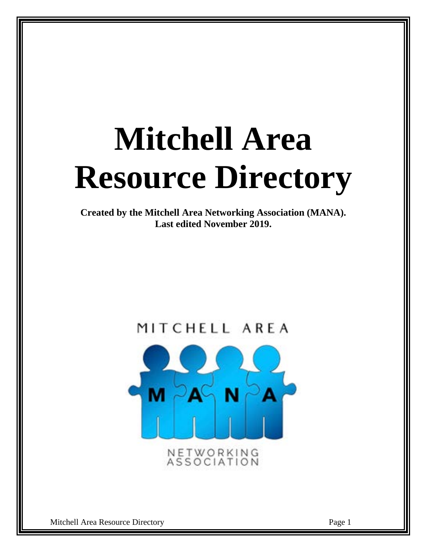# **Mitchell Area Resource Directory**

**Created by the Mitchell Area Networking Association (MANA). Last edited November 2019.** 

# MITCHELL AREA

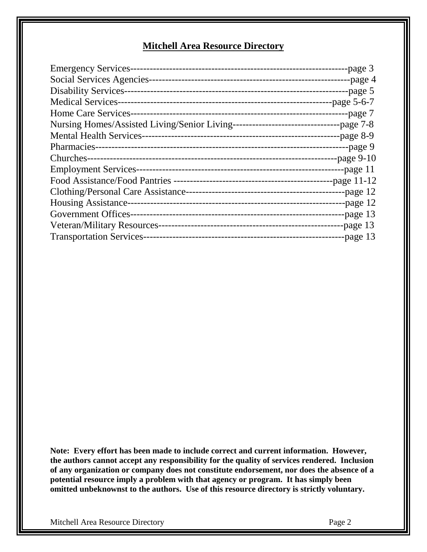# **Mitchell Area Resource Directory**

| <b>Emergency Services-</b>      | -page 3       |
|---------------------------------|---------------|
|                                 |               |
|                                 | -page 5       |
|                                 |               |
|                                 | --page 7      |
|                                 |               |
|                                 | -page $8-9$   |
|                                 |               |
|                                 | -page 9-10    |
|                                 | --page 11     |
|                                 | -page $11-12$ |
|                                 | -page $12$    |
| <b>Housing Assistance-</b>      | -page 12      |
| Government Offices-             | -page 13      |
|                                 | -page 13      |
| <b>Transportation Services-</b> | -page $13$    |

**Note: Every effort has been made to include correct and current information. However, the authors cannot accept any responsibility for the quality of services rendered. Inclusion of any organization or company does not constitute endorsement, nor does the absence of a potential resource imply a problem with that agency or program. It has simply been omitted unbeknownst to the authors. Use of this resource directory is strictly voluntary.**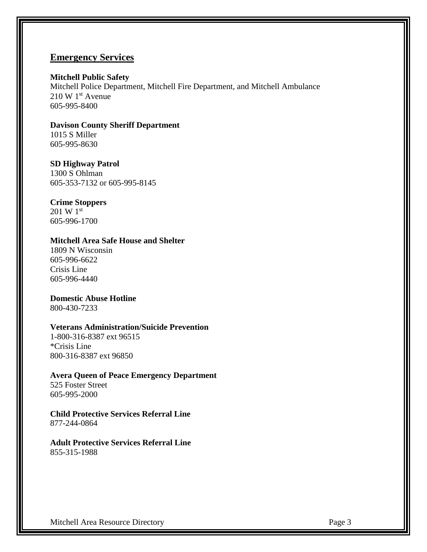# **Emergency Services**

#### **Mitchell Public Safety**

Mitchell Police Department, Mitchell Fire Department, and Mitchell Ambulance  $210 \text{ W } 1^{\text{st}}$  Avenue 605-995-8400

## **Davison County Sheriff Department** 1015 S Miller 605-995-8630

# **SD Highway Patrol**

1300 S Ohlman 605-353-7132 or 605-995-8145

# **Crime Stoppers**

201 W 1st 605-996-1700

# **Mitchell Area Safe House and Shelter**

1809 N Wisconsin 605-996-6622 Crisis Line 605-996-4440

# **Domestic Abuse Hotline**

800-430-7233

# **Veterans Administration/Suicide Prevention**

1-800-316-8387 ext 96515 \*Crisis Line 800-316-8387 ext 96850

# **Avera Queen of Peace Emergency Department**

525 Foster Street 605-995-2000

# **Child Protective Services Referral Line** 877-244-0864

**Adult Protective Services Referral Line** 855-315-1988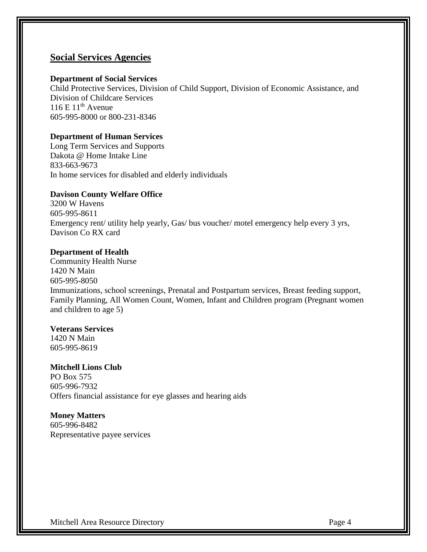# **Social Services Agencies**

#### **Department of Social Services**

Child Protective Services, Division of Child Support, Division of Economic Assistance, and Division of Childcare Services  $116 \mathrm{E} 11^{\mathrm{th}}$  Avenue 605-995-8000 or 800-231-8346

## **Department of Human Services**

Long Term Services and Supports Dakota @ Home Intake Line 833-663-9673 In home services for disabled and elderly individuals

#### **Davison County Welfare Office**

3200 W Havens 605-995-8611 Emergency rent/ utility help yearly, Gas/ bus voucher/ motel emergency help every 3 yrs, Davison Co RX card

#### **Department of Health**

Community Health Nurse 1420 N Main 605-995-8050 Immunizations, school screenings, Prenatal and Postpartum services, Breast feeding support, Family Planning, All Women Count, Women, Infant and Children program (Pregnant women and children to age 5)

#### **Veterans Services**

1420 N Main 605-995-8619

**Mitchell Lions Club** PO Box 575 605-996-7932 Offers financial assistance for eye glasses and hearing aids

**Money Matters** 605-996-8482 Representative payee services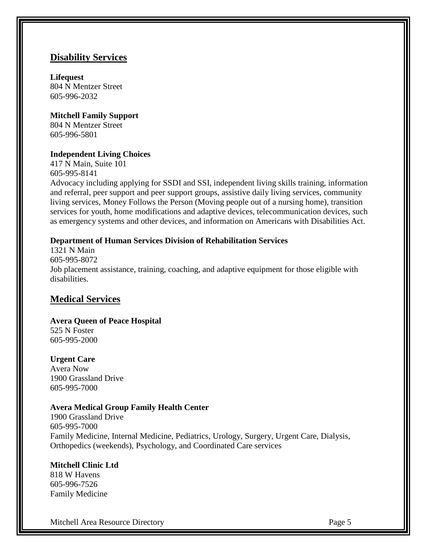# **Disability Services**

**Lifequest** 804 N Mentzer Street 605-996-2032

**Mitchell Family Support** 804 N Mentzer Street 605-996-5801

# **Independent Living Choices**

417 N Main, Suite 101 605-995-8141 Advocacy including applying for SSDI and SSI, independent living skills training, information and referral, peer support and peer support groups, assistive daily living services, community living services, Money Follows the Person (Moving people out of a nursing home), transition services for youth, home modifications and adaptive devices, telecommunication devices, such as emergency systems and other devices, and information on Americans with Disabilities Act.

#### **Department of Human Services Division of Rehabilitation Services**

1321 N Main 605-995-8072 Job placement assistance, training, coaching, and adaptive equipment for those eligible with disabilities.

# **Medical Services**

# **Avera Queen of Peace Hospital**

525 N Foster 605-995-2000

# **Urgent Care**

Avera Now 1900 Grassland Drive 605-995-7000

## **Avera Medical Group Family Health Center**

1900 Grassland Drive 605-995-7000 Family Medicine, Internal Medicine, Pediatrics, Urology, Surgery, Urgent Care, Dialysis, Orthopedics (weekends), Psychology, and Coordinated Care services

# **Mitchell Clinic Ltd**

818 W Havens 605-996-7526 Family Medicine

Mitchell Area Resource Directory **Page 5** and the state of the state of the state of the state of the state of the state of the state of the state of the state of the state of the state of the state of the state of the sta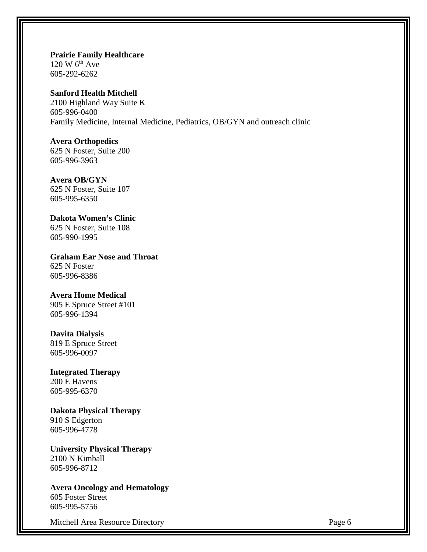**Prairie Family Healthcare**  $120 W 6<sup>th</sup> Ave$ 605-292-6262

# **Sanford Health Mitchell**

2100 Highland Way Suite K 605-996-0400 Family Medicine, Internal Medicine, Pediatrics, OB/GYN and outreach clinic

#### **Avera Orthopedics**

625 N Foster, Suite 200 605-996-3963

#### **Avera OB/GYN**

625 N Foster, Suite 107 605-995-6350

# **Dakota Women's Clinic**

625 N Foster, Suite 108 605-990-1995

**Graham Ear Nose and Throat** 625 N Foster 605-996-8386

### **Avera Home Medical**

905 E Spruce Street #101 605-996-1394

# **Davita Dialysis**

819 E Spruce Street 605-996-0097

#### **Integrated Therapy** 200 E Havens

605-995-6370

**Dakota Physical Therapy** 910 S Edgerton 605-996-4778

**University Physical Therapy** 2100 N Kimball 605-996-8712

#### **Avera Oncology and Hematology** 605 Foster Street

605-995-5756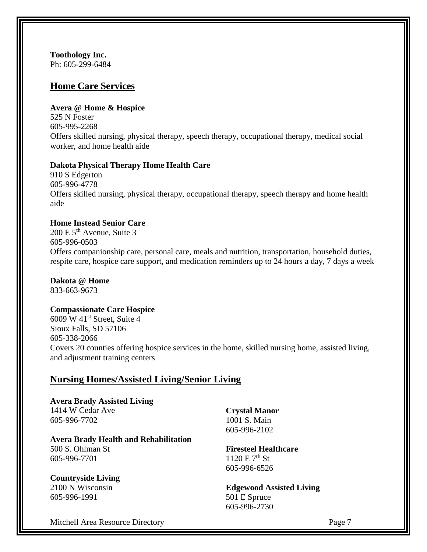**Toothology Inc.** Ph: 605-299-6484

# **Home Care Services**

# **Avera @ Home & Hospice**

525 N Foster 605-995-2268 Offers skilled nursing, physical therapy, speech therapy, occupational therapy, medical social worker, and home health aide

# **Dakota Physical Therapy Home Health Care**

910 S Edgerton 605-996-4778 Offers skilled nursing, physical therapy, occupational therapy, speech therapy and home health aide

# **Home Instead Senior Care**

 $200 E 5<sup>th</sup>$  Avenue, Suite 3 605-996-0503 Offers companionship care, personal care, meals and nutrition, transportation, household duties, respite care, hospice care support, and medication reminders up to 24 hours a day, 7 days a week

**Dakota @ Home** 833-663-9673

#### **Compassionate Care Hospice**

6009 W  $41<sup>st</sup>$  Street, Suite 4 Sioux Falls, SD 57106 605-338-2066 Covers 20 counties offering hospice services in the home, skilled nursing home, assisted living, and adjustment training centers

# **Nursing Homes/Assisted Living/Senior Living**

**Avera Brady Assisted Living**  1414 W Cedar Ave 605-996-7702

# **Avera Brady Health and Rehabilitation**

500 S. Ohlman St 605-996-7701

# **Countryside Living**

2100 N Wisconsin 605-996-1991

**Crystal Manor** 1001 S. Main 605-996-2102

**Firesteel Healthcare**  $1120 E 7<sup>th</sup> St$ 605-996-6526

**Edgewood Assisted Living** 501 E Spruce 605-996-2730

Mitchell Area Resource Directory **Page 7** and  $P$  and  $P$  and  $P$  and  $P$  are 7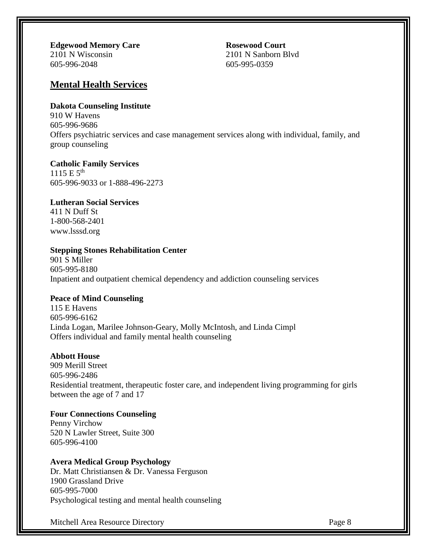**Edgewood Memory Care** 2101 N Wisconsin 605-996-2048

**Rosewood Court** 2101 N Sanborn Blvd 605-995-0359

# **Mental Health Services**

## **Dakota Counseling Institute**

910 W Havens 605-996-9686 Offers psychiatric services and case management services along with individual, family, and group counseling

# **Catholic Family Services**

 $1115 E 5^{th}$ 605-996-9033 or 1-888-496-2273

# **Lutheran Social Services**

411 N Duff St 1-800-568-2401 [www.lsssd.org](http://www.lsssd.org/)

# **Stepping Stones Rehabilitation Center**

901 S Miller 605-995-8180 Inpatient and outpatient chemical dependency and addiction counseling services

#### **Peace of Mind Counseling**

115 E Havens 605-996-6162 Linda Logan, Marilee Johnson-Geary, Molly McIntosh, and Linda Cimpl Offers individual and family mental health counseling

# **Abbott House**

909 Merill Street 605-996-2486 Residential treatment, therapeutic foster care, and independent living programming for girls between the age of 7 and 17

# **Four Connections Counseling**

Penny Virchow 520 N Lawler Street, Suite 300 605-996-4100

# **Avera Medical Group Psychology**

Dr. Matt Christiansen & Dr. Vanessa Ferguson 1900 Grassland Drive 605-995-7000 Psychological testing and mental health counseling

Mitchell Area Resource Directory **Page 8** and the state of the state and the state and the state and the state and the state and the state and the state and the state and the state and the state and the state and the state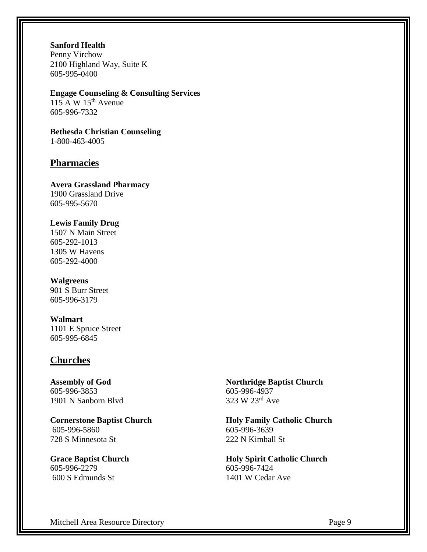**Sanford Health**

Penny Virchow 2100 Highland Way, Suite K 605-995-0400

**Engage Counseling & Consulting Services**  $115 \text{ A W } 15^{\text{th}}$  Avenue 605-996-7332

**Bethesda Christian Counseling** 1-800-463-4005

# **Pharmacies**

**Avera Grassland Pharmacy**  1900 Grassland Drive 605-995-5670

**Lewis Family Drug** 1507 N Main Street 605-292-1013 1305 W Havens 605-292-4000

**Walgreens** 901 S Burr Street 605-996-3179

**Walmart** 1101 E Spruce Street 605-995-6845

# **Churches**

**Assembly of God** 605-996-3853 1901 N Sanborn Blvd

**Cornerstone Baptist Church**  605-996-5860 728 S Minnesota St

**Grace Baptist Church** 605-996-2279 600 S Edmunds St

**Northridge Baptist Church** 605-996-4937 323 W 23rd Ave

**Holy Family Catholic Church** 605-996-3639 222 N Kimball St

**Holy Spirit Catholic Church** 605-996-7424 1401 W Cedar Ave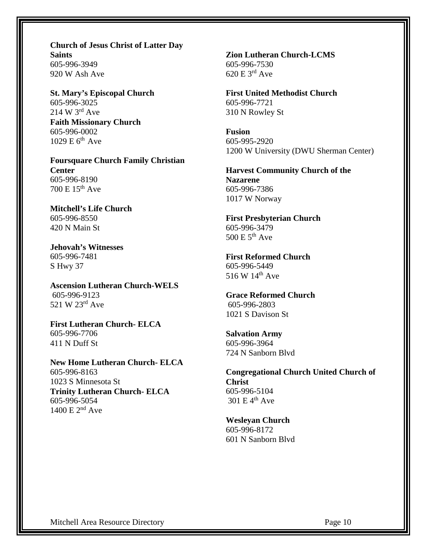**Church of Jesus Christ of Latter Day Saints** 605-996-3949 920 W Ash Ave

**St. Mary's Episcopal Church** 605-996-3025 214 W 3rd Ave **Faith Missionary Church** 605-996-0002  $1029 \text{ E } 6^{\text{th}}$  Ave

**Foursquare Church Family Christian Center** 605-996-8190 700 E 15th Ave

**Mitchell's Life Church** 605-996-8550 420 N Main St

**Jehovah's Witnesses** 605-996-7481 S Hwy 37

**Ascension Lutheran Church-WELS** 605-996-9123 521 W 23rd Ave

**First Lutheran Church- ELCA** 605-996-7706 411 N Duff St

**New Home Lutheran Church- ELCA** 605-996-8163 1023 S Minnesota St **Trinity Lutheran Church- ELCA** 605-996-5054 1400 E 2nd Ave

**Zion Lutheran Church-LCMS**  605-996-7530 620 E 3rd Ave

**First United Methodist Church** 605-996-7721 310 N Rowley St

**Fusion**  605-995-2920 1200 W University (DWU Sherman Center)

**Harvest Community Church of the Nazarene** 605-996-7386 1017 W Norway

**First Presbyterian Church** 605-996-3479  $500 E 5<sup>th</sup> Ave$ 

**First Reformed Church** 605-996-5449 516 W 14<sup>th</sup> Ave

**Grace Reformed Church** 605-996-2803 1021 S Davison St

**Salvation Army** 605-996-3964 724 N Sanborn Blvd

**Congregational Church United Church of Christ** 605-996-5104  $301 E 4<sup>th</sup>$  Ave

**Wesleyan Church** 605-996-8172

601 N Sanborn Blvd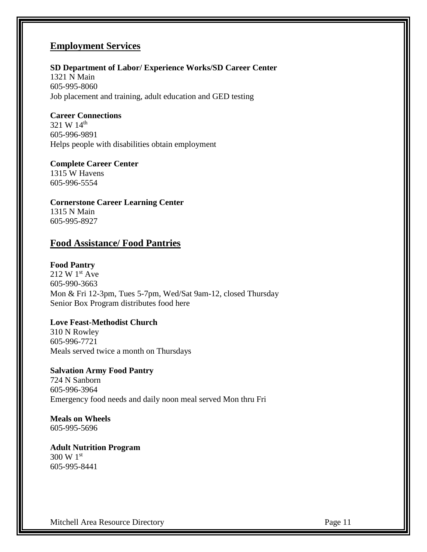# **Employment Services**

# **SD Department of Labor/ Experience Works/SD Career Center**

1321 N Main 605-995-8060 Job placement and training, adult education and GED testing

#### **Career Connections**

321 W 14<sup>th</sup> 605-996-9891 Helps people with disabilities obtain employment

# **Complete Career Center** 1315 W Havens

605-996-5554

**Cornerstone Career Learning Center** 1315 N Main 605-995-8927

# **Food Assistance/ Food Pantries**

# **Food Pantry**

 $212 \text{ W } 1^{\text{st}}$  Ave 605-990-3663 Mon & Fri 12-3pm, Tues 5-7pm, Wed/Sat 9am-12, closed Thursday Senior Box Program distributes food here

# **Love Feast-Methodist Church**

310 N Rowley 605-996-7721 Meals served twice a month on Thursdays

# **Salvation Army Food Pantry** 724 N Sanborn 605-996-3964 Emergency food needs and daily noon meal served Mon thru Fri

#### **Meals on Wheels** 605-995-5696

**Adult Nutrition Program** 300 W 1st 605-995-8441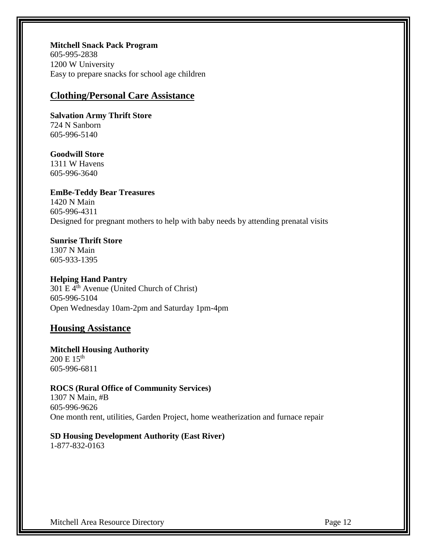**Mitchell Snack Pack Program** 605-995-2838 1200 W University Easy to prepare snacks for school age children

# **Clothing/Personal Care Assistance**

**Salvation Army Thrift Store** 724 N Sanborn 605-996-5140

# **Goodwill Store**

1311 W Havens 605-996-3640

**EmBe-Teddy Bear Treasures** 1420 N Main 605-996-4311 Designed for pregnant mothers to help with baby needs by attending prenatal visits

**Sunrise Thrift Store** 1307 N Main 605-933-1395

# **Helping Hand Pantry**

 $301 \text{ E } 4^{\text{th}}$  Avenue (United Church of Christ) 605-996-5104 Open Wednesday 10am-2pm and Saturday 1pm-4pm

# **Housing Assistance**

#### **Mitchell Housing Authority**  $200 \text{ E} 15^{\text{th}}$ 605-996-6811

#### **ROCS (Rural Office of Community Services)**

1307 N Main, #B 605-996-9626 One month rent, utilities, Garden Project, home weatherization and furnace repair

# **SD Housing Development Authority (East River)**

1-877-832-0163